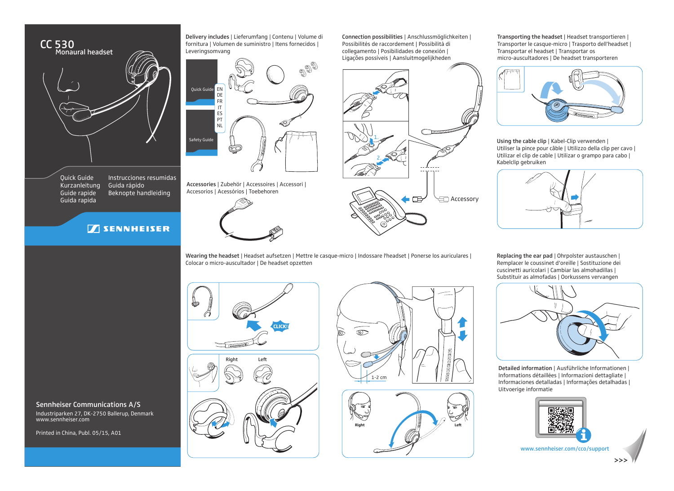

Quick Guide Kurzanleitung Guide rapide Guida rapida Instrucciones resumidas Guida rápido Beknopte handleiding

Industriparken 27, DK-2750 Ballerup, Denmark

Sennheiser Communications A/S

www.sennheiser.com

Printed in China, Publ. 05/15, A01

## **SENNHEISER**

Delivery includes | Lieferumfang | Contenu | Volume di fornitura | Volumen de suministro | Itens fornecidos | Leveringsomvang



Accessories | Zubehör | Accessoires | Accessori | Accesorios | Acessórios | Toebehoren





Connection possibilities | Anschlussmöglichkeiten | Possibilités de raccordement | Possibilità di collegamento | Posibilidades de conexión | Ligações possíveis | Aansluitmogelijkheden

Wearing the headset | Headset aufsetzen | Mettre le casque-micro | Indossare l'headset | Ponerse los auriculares | Colocar o micro-auscultador | De headset opzetten





Transporting the headset | Headset transportieren | Transporter le casque-micro | Trasporto dell'headset | Transportar el headset | Transportar os micro-auscultadores | De headset transporteren



Using the cable clip | Kabel-Clip verwenden | Utiliser la pince pour câble | Utilizzo della clip per cavo | Utilizar el clip de cable | Utilizar o grampo para cabo | Kabelclip gebruiken



Replacing the ear pad | Ohrpolster austauschen | Remplacer le coussinet d'oreille | Sostituzione dei cuscinetti auricolari | Cambiar las almohadillas | Substituir as almofadas | Oorkussens vervangen



Detailed information | Ausführliche Informationen | Informations détaillées | Informazioni dettagliate | Informaciones detalladas | Informações detalhadas | Uitvoerige informatie



www.sennheiser.com/cco/support